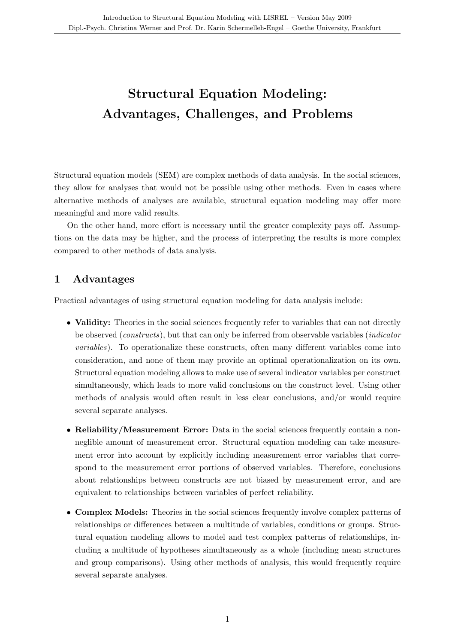# Structural Equation Modeling: Advantages, Challenges, and Problems

Structural equation models (SEM) are complex methods of data analysis. In the social sciences, they allow for analyses that would not be possible using other methods. Even in cases where alternative methods of analyses are available, structural equation modeling may offer more meaningful and more valid results.

On the other hand, more effort is necessary until the greater complexity pays off. Assumptions on the data may be higher, and the process of interpreting the results is more complex compared to other methods of data analysis.

### 1 Advantages

Practical advantages of using structural equation modeling for data analysis include:

- Validity: Theories in the social sciences frequently refer to variables that can not directly be observed (constructs), but that can only be inferred from observable variables (indicator variables). To operationalize these constructs, often many different variables come into consideration, and none of them may provide an optimal operationalization on its own. Structural equation modeling allows to make use of several indicator variables per construct simultaneously, which leads to more valid conclusions on the construct level. Using other methods of analysis would often result in less clear conclusions, and/or would require several separate analyses.
- Reliability/Measurement Error: Data in the social sciences frequently contain a nonneglible amount of measurement error. Structural equation modeling can take measurement error into account by explicitly including measurement error variables that correspond to the measurement error portions of observed variables. Therefore, conclusions about relationships between constructs are not biased by measurement error, and are equivalent to relationships between variables of perfect reliability.
- Complex Models: Theories in the social sciences frequently involve complex patterns of relationships or differences between a multitude of variables, conditions or groups. Structural equation modeling allows to model and test complex patterns of relationships, including a multitude of hypotheses simultaneously as a whole (including mean structures and group comparisons). Using other methods of analysis, this would frequently require several separate analyses.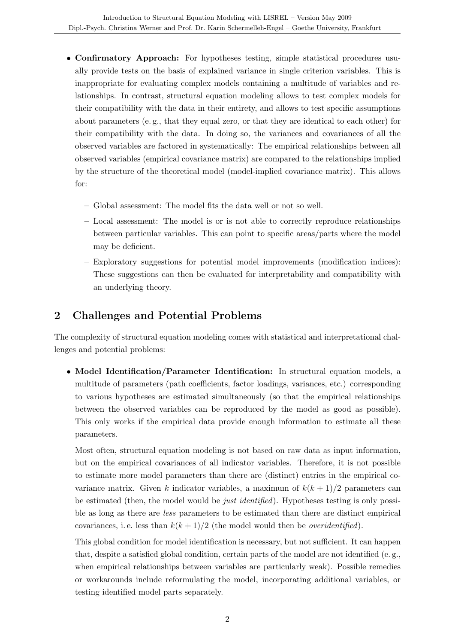- Confirmatory Approach: For hypotheses testing, simple statistical procedures usually provide tests on the basis of explained variance in single criterion variables. This is inappropriate for evaluating complex models containing a multitude of variables and relationships. In contrast, structural equation modeling allows to test complex models for their compatibility with the data in their entirety, and allows to test specific assumptions about parameters (e. g., that they equal zero, or that they are identical to each other) for their compatibility with the data. In doing so, the variances and covariances of all the observed variables are factored in systematically: The empirical relationships between all observed variables (empirical covariance matrix) are compared to the relationships implied by the structure of the theoretical model (model-implied covariance matrix). This allows for:
	- Global assessment: The model fits the data well or not so well.
	- Local assessment: The model is or is not able to correctly reproduce relationships between particular variables. This can point to specific areas/parts where the model may be deficient.
	- Exploratory suggestions for potential model improvements (modification indices): These suggestions can then be evaluated for interpretability and compatibility with an underlying theory.

### 2 Challenges and Potential Problems

The complexity of structural equation modeling comes with statistical and interpretational challenges and potential problems:

• Model Identification/Parameter Identification: In structural equation models, a multitude of parameters (path coefficients, factor loadings, variances, etc.) corresponding to various hypotheses are estimated simultaneously (so that the empirical relationships between the observed variables can be reproduced by the model as good as possible). This only works if the empirical data provide enough information to estimate all these parameters.

Most often, structural equation modeling is not based on raw data as input information, but on the empirical covariances of all indicator variables. Therefore, it is not possible to estimate more model parameters than there are (distinct) entries in the empirical covariance matrix. Given k indicator variables, a maximum of  $k(k+1)/2$  parameters can be estimated (then, the model would be just identified). Hypotheses testing is only possible as long as there are less parameters to be estimated than there are distinct empirical covariances, i.e. less than  $k(k+1)/2$  (the model would then be *overidentified*).

This global condition for model identification is necessary, but not sufficient. It can happen that, despite a satisfied global condition, certain parts of the model are not identified (e. g., when empirical relationships between variables are particularly weak). Possible remedies or workarounds include reformulating the model, incorporating additional variables, or testing identified model parts separately.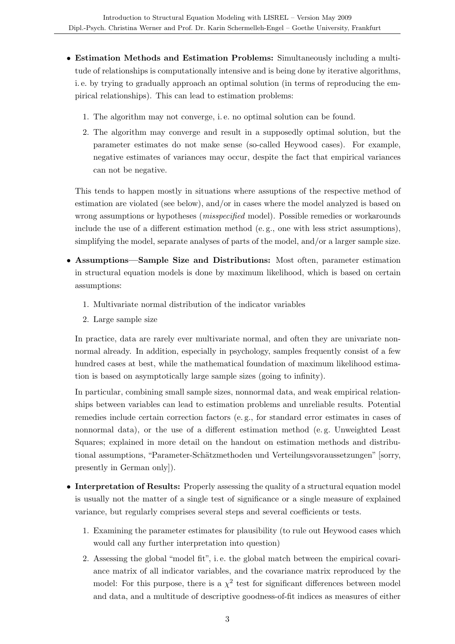- Estimation Methods and Estimation Problems: Simultaneously including a multitude of relationships is computationally intensive and is being done by iterative algorithms, i. e. by trying to gradually approach an optimal solution (in terms of reproducing the empirical relationships). This can lead to estimation problems:
	- 1. The algorithm may not converge, i. e. no optimal solution can be found.
	- 2. The algorithm may converge and result in a supposedly optimal solution, but the parameter estimates do not make sense (so-called Heywood cases). For example, negative estimates of variances may occur, despite the fact that empirical variances can not be negative.

This tends to happen mostly in situations where assuptions of the respective method of estimation are violated (see below), and/or in cases where the model analyzed is based on wrong assumptions or hypotheses (misspecified model). Possible remedies or workarounds include the use of a different estimation method (e. g., one with less strict assumptions), simplifying the model, separate analyses of parts of the model, and/or a larger sample size.

- Assumptions—Sample Size and Distributions: Most often, parameter estimation in structural equation models is done by maximum likelihood, which is based on certain assumptions:
	- 1. Multivariate normal distribution of the indicator variables
	- 2. Large sample size

In practice, data are rarely ever multivariate normal, and often they are univariate nonnormal already. In addition, especially in psychology, samples frequently consist of a few hundred cases at best, while the mathematical foundation of maximum likelihood estimation is based on asymptotically large sample sizes (going to infinity).

In particular, combining small sample sizes, nonnormal data, and weak empirical relationships between variables can lead to estimation problems and unreliable results. Potential remedies include certain correction factors (e. g., for standard error estimates in cases of nonnormal data), or the use of a different estimation method (e. g. Unweighted Least Squares; explained in more detail on the handout on estimation methods and distributional assumptions, "Parameter-Schätzmethoden und Verteilungsvoraussetzungen" [sorry, presently in German only]).

- Interpretation of Results: Properly assessing the quality of a structural equation model is usually not the matter of a single test of significance or a single measure of explained variance, but regularly comprises several steps and several coefficients or tests.
	- 1. Examining the parameter estimates for plausibility (to rule out Heywood cases which would call any further interpretation into question)
	- 2. Assessing the global "model fit", i. e. the global match between the empirical covariance matrix of all indicator variables, and the covariance matrix reproduced by the model: For this purpose, there is a  $\chi^2$  test for significant differences between model and data, and a multitude of descriptive goodness-of-fit indices as measures of either